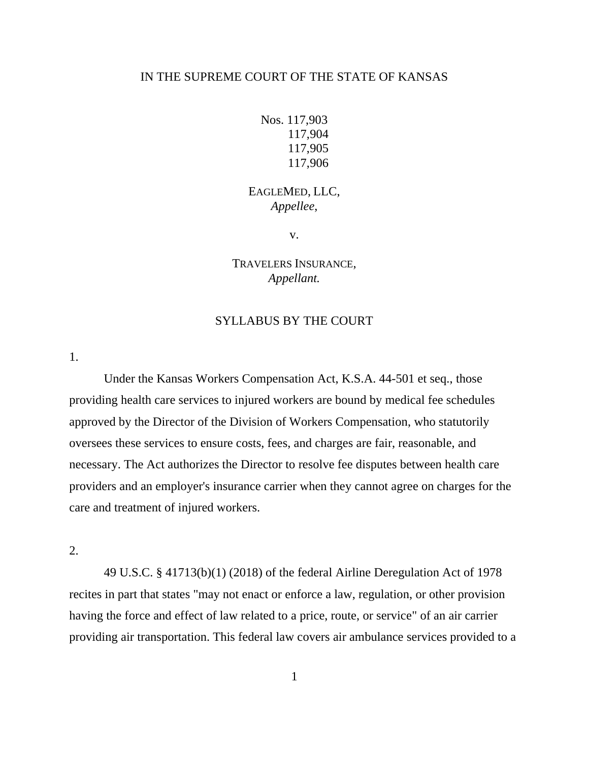### IN THE SUPREME COURT OF THE STATE OF KANSAS

```
Nos. 117,903
117,904
117,905
117,906
```
# EAGLEMED, LLC, *Appellee*,

v.

TRAVELERS INSURANCE, *Appellant.*

## SYLLABUS BY THE COURT

1.

Under the Kansas Workers Compensation Act, K.S.A. 44-501 et seq., those providing health care services to injured workers are bound by medical fee schedules approved by the Director of the Division of Workers Compensation, who statutorily oversees these services to ensure costs, fees, and charges are fair, reasonable, and necessary. The Act authorizes the Director to resolve fee disputes between health care providers and an employer's insurance carrier when they cannot agree on charges for the care and treatment of injured workers.

2.

49 U.S.C. § 41713(b)(1) (2018) of the federal Airline Deregulation Act of 1978 recites in part that states "may not enact or enforce a law, regulation, or other provision having the force and effect of law related to a price, route, or service" of an air carrier providing air transportation. This federal law covers air ambulance services provided to a

1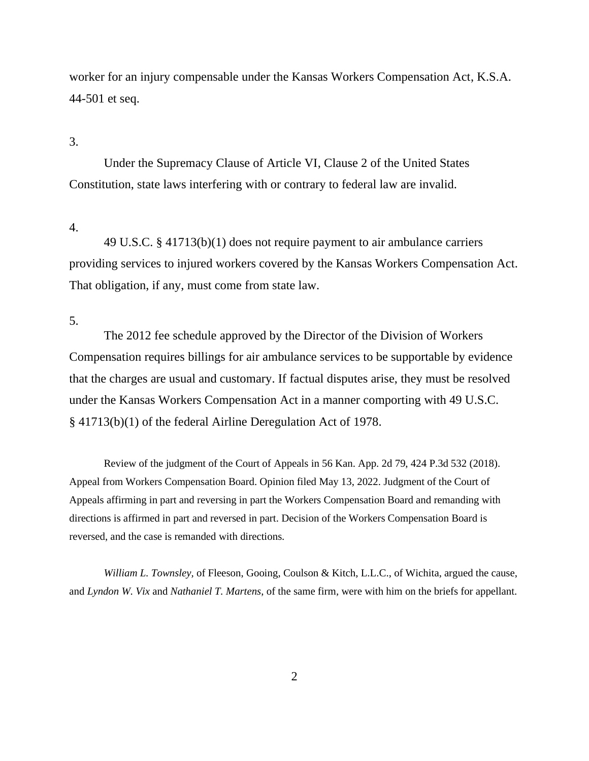worker for an injury compensable under the Kansas Workers Compensation Act, K.S.A. 44-501 et seq.

## 3.

Under the Supremacy Clause of Article VI, Clause 2 of the United States Constitution, state laws interfering with or contrary to federal law are invalid.

#### 4.

49 U.S.C. § 41713(b)(1) does not require payment to air ambulance carriers providing services to injured workers covered by the Kansas Workers Compensation Act. That obligation, if any, must come from state law.

5.

The 2012 fee schedule approved by the Director of the Division of Workers Compensation requires billings for air ambulance services to be supportable by evidence that the charges are usual and customary. If factual disputes arise, they must be resolved under the Kansas Workers Compensation Act in a manner comporting with 49 U.S.C. § 41713(b)(1) of the federal Airline Deregulation Act of 1978.

Review of the judgment of the Court of Appeals in 56 Kan. App. 2d 79, 424 P.3d 532 (2018). Appeal from Workers Compensation Board. Opinion filed May 13, 2022. Judgment of the Court of Appeals affirming in part and reversing in part the Workers Compensation Board and remanding with directions is affirmed in part and reversed in part. Decision of the Workers Compensation Board is reversed, and the case is remanded with directions.

*William L. Townsley,* of Fleeson, Gooing, Coulson & Kitch, L.L.C., of Wichita, argued the cause, and *Lyndon W. Vix* and *Nathaniel T. Martens*, of the same firm*,* were with him on the briefs for appellant.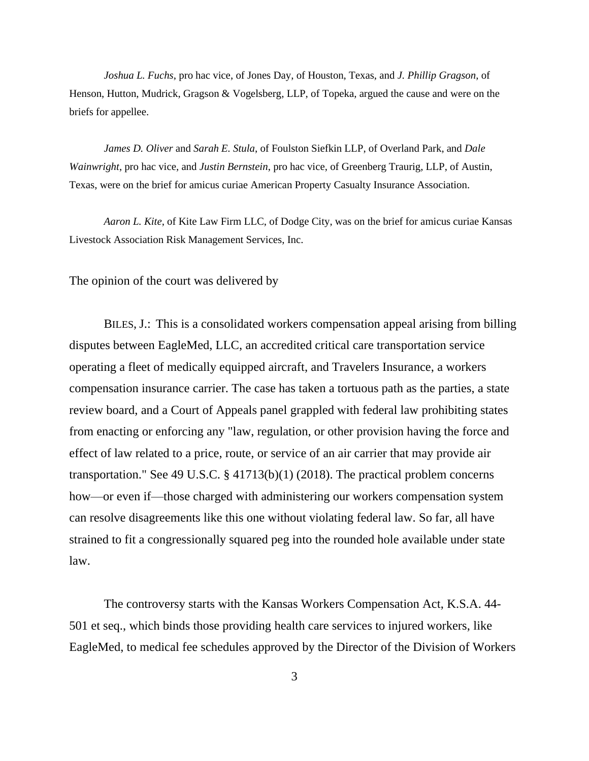*Joshua L. Fuchs*, pro hac vice, of Jones Day, of Houston, Texas, and *J. Phillip Gragson*, of Henson, Hutton, Mudrick, Gragson & Vogelsberg, LLP, of Topeka, argued the cause and were on the briefs for appellee.

*James D. Oliver* and *Sarah E. Stula*, of Foulston Siefkin LLP, of Overland Park, and *Dale Wainwright*, pro hac vice, and *Justin Bernstein*, pro hac vice, of Greenberg Traurig, LLP, of Austin, Texas, were on the brief for amicus curiae American Property Casualty Insurance Association.

*Aaron L. Kite*, of Kite Law Firm LLC, of Dodge City, was on the brief for amicus curiae Kansas Livestock Association Risk Management Services, Inc.

The opinion of the court was delivered by

BILES, J.: This is a consolidated workers compensation appeal arising from billing disputes between EagleMed, LLC, an accredited critical care transportation service operating a fleet of medically equipped aircraft, and Travelers Insurance, a workers compensation insurance carrier. The case has taken a tortuous path as the parties, a state review board, and a Court of Appeals panel grappled with federal law prohibiting states from enacting or enforcing any "law, regulation, or other provision having the force and effect of law related to a price, route, or service of an air carrier that may provide air transportation." See 49 U.S.C. § 41713(b)(1) (2018). The practical problem concerns how—or even if—those charged with administering our workers compensation system can resolve disagreements like this one without violating federal law. So far, all have strained to fit a congressionally squared peg into the rounded hole available under state law.

The controversy starts with the Kansas Workers Compensation Act, K.S.A. 44- 501 et seq., which binds those providing health care services to injured workers, like EagleMed, to medical fee schedules approved by the Director of the Division of Workers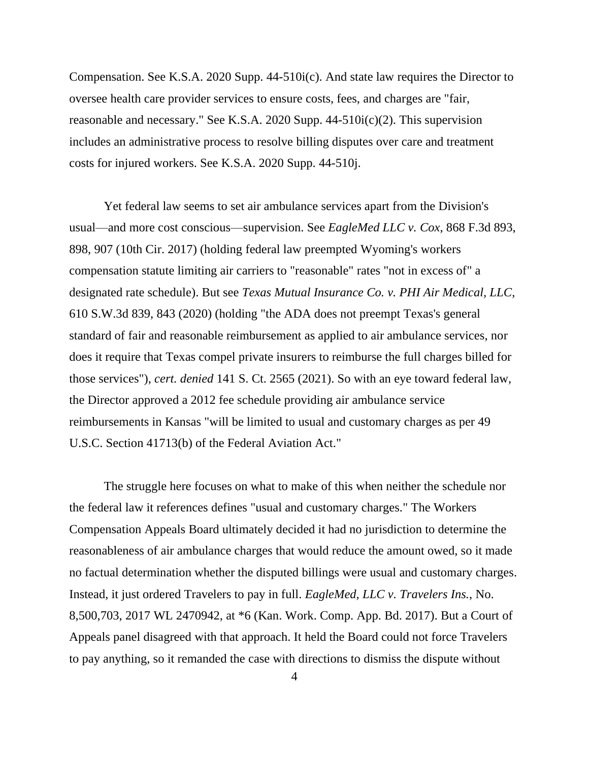Compensation. See K.S.A. 2020 Supp. 44-510i(c). And state law requires the Director to oversee health care provider services to ensure costs, fees, and charges are "fair, reasonable and necessary." See K.S.A. 2020 Supp. 44-510i(c)(2). This supervision includes an administrative process to resolve billing disputes over care and treatment costs for injured workers. See K.S.A. 2020 Supp. 44-510j.

Yet federal law seems to set air ambulance services apart from the Division's usual—and more cost conscious—supervision. See *EagleMed LLC v. Cox*, 868 F.3d 893, 898, 907 (10th Cir. 2017) (holding federal law preempted Wyoming's workers compensation statute limiting air carriers to "reasonable" rates "not in excess of" a designated rate schedule). But see *Texas Mutual Insurance Co. v. PHI Air Medical, LLC*, 610 S.W.3d 839, 843 (2020) (holding "the ADA does not preempt Texas's general standard of fair and reasonable reimbursement as applied to air ambulance services, nor does it require that Texas compel private insurers to reimburse the full charges billed for those services"), *cert. denied* 141 S. Ct. 2565 (2021). So with an eye toward federal law, the Director approved a 2012 fee schedule providing air ambulance service reimbursements in Kansas "will be limited to usual and customary charges as per 49 U.S.C. Section 41713(b) of the Federal Aviation Act."

The struggle here focuses on what to make of this when neither the schedule nor the federal law it references defines "usual and customary charges." The Workers Compensation Appeals Board ultimately decided it had no jurisdiction to determine the reasonableness of air ambulance charges that would reduce the amount owed, so it made no factual determination whether the disputed billings were usual and customary charges. Instead, it just ordered Travelers to pay in full. *EagleMed, LLC v. Travelers Ins.*, No. 8,500,703, 2017 WL 2470942, at \*6 (Kan. Work. Comp. App. Bd. 2017). But a Court of Appeals panel disagreed with that approach. It held the Board could not force Travelers to pay anything, so it remanded the case with directions to dismiss the dispute without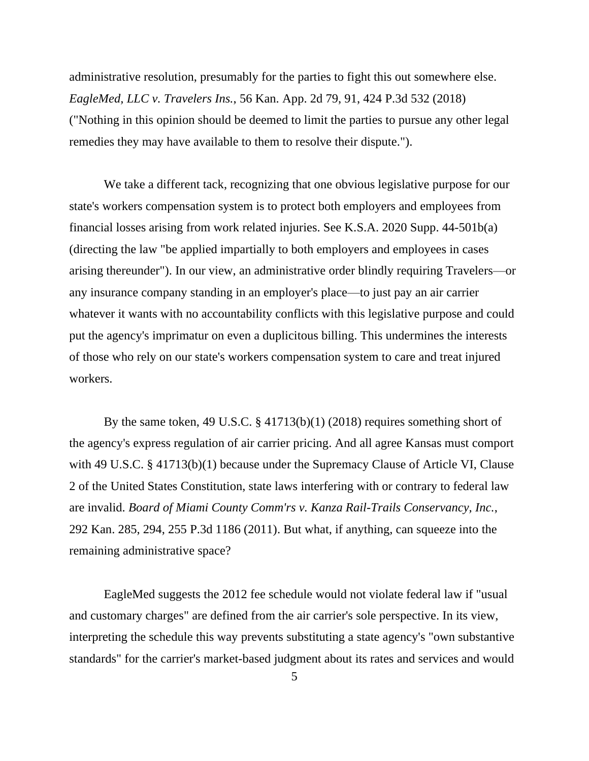administrative resolution, presumably for the parties to fight this out somewhere else. *EagleMed, LLC v. Travelers Ins.*, 56 Kan. App. 2d 79, 91, 424 P.3d 532 (2018) ("Nothing in this opinion should be deemed to limit the parties to pursue any other legal remedies they may have available to them to resolve their dispute.").

We take a different tack, recognizing that one obvious legislative purpose for our state's workers compensation system is to protect both employers and employees from financial losses arising from work related injuries. See K.S.A. 2020 Supp. 44-501b(a) (directing the law "be applied impartially to both employers and employees in cases arising thereunder"). In our view, an administrative order blindly requiring Travelers—or any insurance company standing in an employer's place—to just pay an air carrier whatever it wants with no accountability conflicts with this legislative purpose and could put the agency's imprimatur on even a duplicitous billing. This undermines the interests of those who rely on our state's workers compensation system to care and treat injured workers.

By the same token, 49 U.S.C. § 41713(b)(1) (2018) requires something short of the agency's express regulation of air carrier pricing. And all agree Kansas must comport with 49 U.S.C. § 41713(b)(1) because under the Supremacy Clause of Article VI, Clause 2 of the United States Constitution, state laws interfering with or contrary to federal law are invalid. *Board of Miami County Comm'rs v. Kanza Rail-Trails Conservancy, Inc.*, 292 Kan. 285, 294, 255 P.3d 1186 (2011). But what, if anything, can squeeze into the remaining administrative space?

EagleMed suggests the 2012 fee schedule would not violate federal law if "usual and customary charges" are defined from the air carrier's sole perspective. In its view, interpreting the schedule this way prevents substituting a state agency's "own substantive standards" for the carrier's market-based judgment about its rates and services and would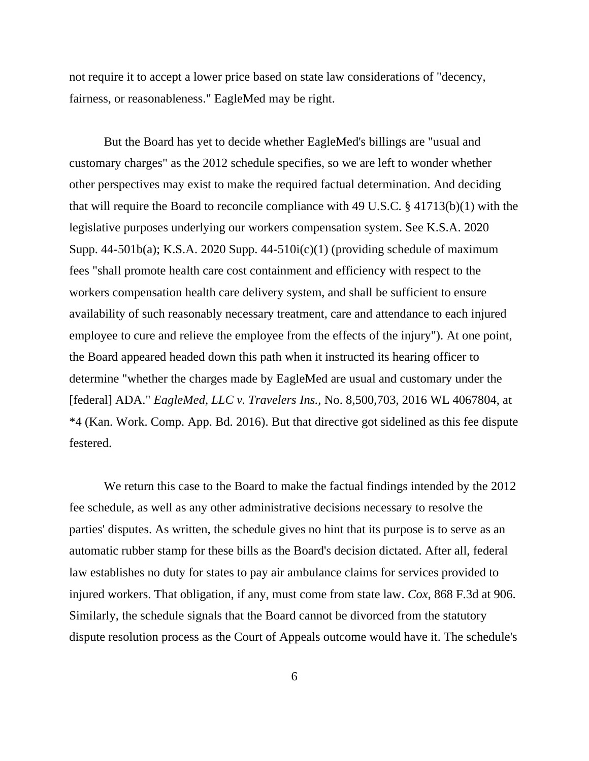not require it to accept a lower price based on state law considerations of "decency, fairness, or reasonableness." EagleMed may be right.

But the Board has yet to decide whether EagleMed's billings are "usual and customary charges" as the 2012 schedule specifies, so we are left to wonder whether other perspectives may exist to make the required factual determination. And deciding that will require the Board to reconcile compliance with 49 U.S.C. § 41713(b)(1) with the legislative purposes underlying our workers compensation system. See K.S.A. 2020 Supp. 44-501b(a); K.S.A. 2020 Supp. 44-510 $i(c)(1)$  (providing schedule of maximum fees "shall promote health care cost containment and efficiency with respect to the workers compensation health care delivery system, and shall be sufficient to ensure availability of such reasonably necessary treatment, care and attendance to each injured employee to cure and relieve the employee from the effects of the injury"). At one point, the Board appeared headed down this path when it instructed its hearing officer to determine "whether the charges made by EagleMed are usual and customary under the [federal] ADA." *EagleMed, LLC v. Travelers Ins.*, No. 8,500,703, 2016 WL 4067804, at \*4 (Kan. Work. Comp. App. Bd. 2016). But that directive got sidelined as this fee dispute festered.

We return this case to the Board to make the factual findings intended by the 2012 fee schedule, as well as any other administrative decisions necessary to resolve the parties' disputes. As written, the schedule gives no hint that its purpose is to serve as an automatic rubber stamp for these bills as the Board's decision dictated. After all, federal law establishes no duty for states to pay air ambulance claims for services provided to injured workers. That obligation, if any, must come from state law. *Cox*, 868 F.3d at 906. Similarly, the schedule signals that the Board cannot be divorced from the statutory dispute resolution process as the Court of Appeals outcome would have it. The schedule's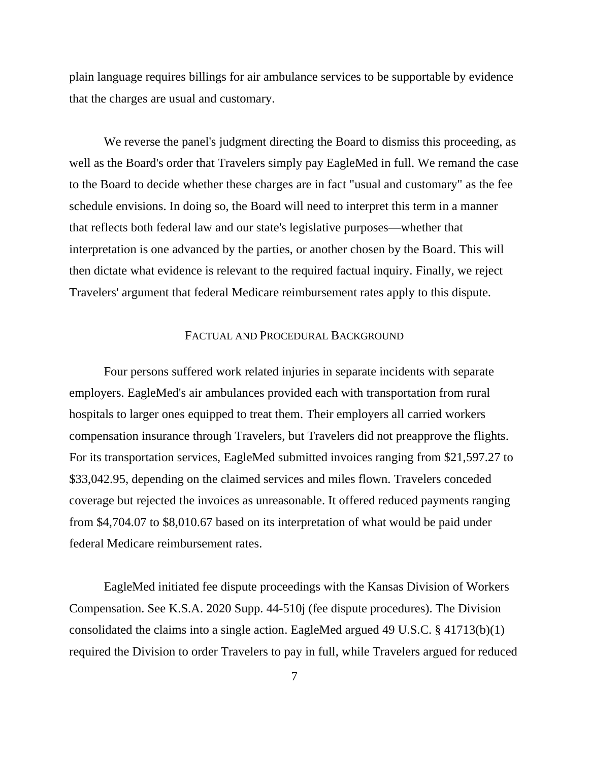plain language requires billings for air ambulance services to be supportable by evidence that the charges are usual and customary.

We reverse the panel's judgment directing the Board to dismiss this proceeding, as well as the Board's order that Travelers simply pay EagleMed in full. We remand the case to the Board to decide whether these charges are in fact "usual and customary" as the fee schedule envisions. In doing so, the Board will need to interpret this term in a manner that reflects both federal law and our state's legislative purposes—whether that interpretation is one advanced by the parties, or another chosen by the Board. This will then dictate what evidence is relevant to the required factual inquiry. Finally, we reject Travelers' argument that federal Medicare reimbursement rates apply to this dispute.

#### FACTUAL AND PROCEDURAL BACKGROUND

Four persons suffered work related injuries in separate incidents with separate employers. EagleMed's air ambulances provided each with transportation from rural hospitals to larger ones equipped to treat them. Their employers all carried workers compensation insurance through Travelers, but Travelers did not preapprove the flights. For its transportation services, EagleMed submitted invoices ranging from \$21,597.27 to \$33,042.95, depending on the claimed services and miles flown. Travelers conceded coverage but rejected the invoices as unreasonable. It offered reduced payments ranging from \$4,704.07 to \$8,010.67 based on its interpretation of what would be paid under federal Medicare reimbursement rates.

EagleMed initiated fee dispute proceedings with the Kansas Division of Workers Compensation. See K.S.A. 2020 Supp. 44-510j (fee dispute procedures). The Division consolidated the claims into a single action. EagleMed argued 49 U.S.C. § 41713(b)(1) required the Division to order Travelers to pay in full, while Travelers argued for reduced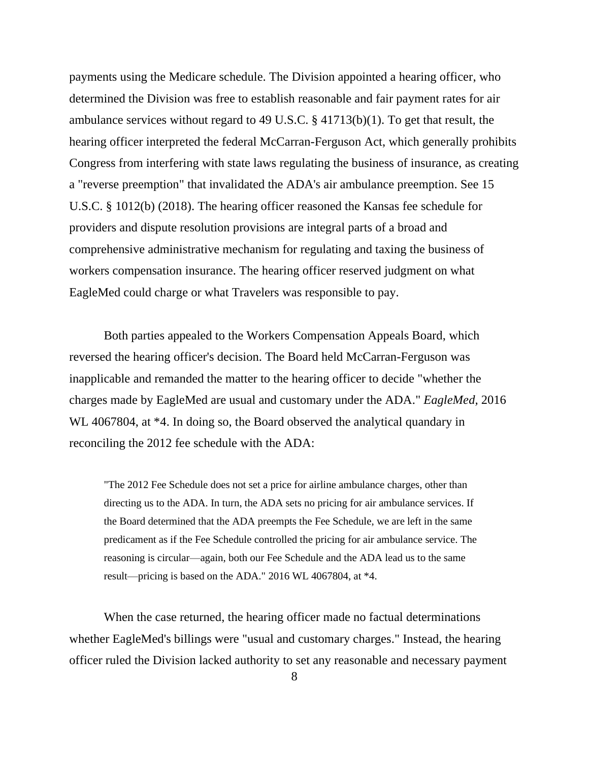payments using the Medicare schedule. The Division appointed a hearing officer, who determined the Division was free to establish reasonable and fair payment rates for air ambulance services without regard to 49 U.S.C. § 41713(b)(1). To get that result, the hearing officer interpreted the federal McCarran-Ferguson Act, which generally prohibits Congress from interfering with state laws regulating the business of insurance, as creating a "reverse preemption" that invalidated the ADA's air ambulance preemption. See 15 U.S.C. § 1012(b) (2018). The hearing officer reasoned the Kansas fee schedule for providers and dispute resolution provisions are integral parts of a broad and comprehensive administrative mechanism for regulating and taxing the business of workers compensation insurance. The hearing officer reserved judgment on what EagleMed could charge or what Travelers was responsible to pay.

Both parties appealed to the Workers Compensation Appeals Board, which reversed the hearing officer's decision. The Board held McCarran-Ferguson was inapplicable and remanded the matter to the hearing officer to decide "whether the charges made by EagleMed are usual and customary under the ADA." *EagleMed,* 2016 WL 4067804, at  $*4$ . In doing so, the Board observed the analytical quandary in reconciling the 2012 fee schedule with the ADA:

"The 2012 Fee Schedule does not set a price for airline ambulance charges, other than directing us to the ADA. In turn, the ADA sets no pricing for air ambulance services. If the Board determined that the ADA preempts the Fee Schedule, we are left in the same predicament as if the Fee Schedule controlled the pricing for air ambulance service. The reasoning is circular—again, both our Fee Schedule and the ADA lead us to the same result—pricing is based on the ADA." 2016 WL 4067804, at \*4.

When the case returned, the hearing officer made no factual determinations whether EagleMed's billings were "usual and customary charges." Instead, the hearing officer ruled the Division lacked authority to set any reasonable and necessary payment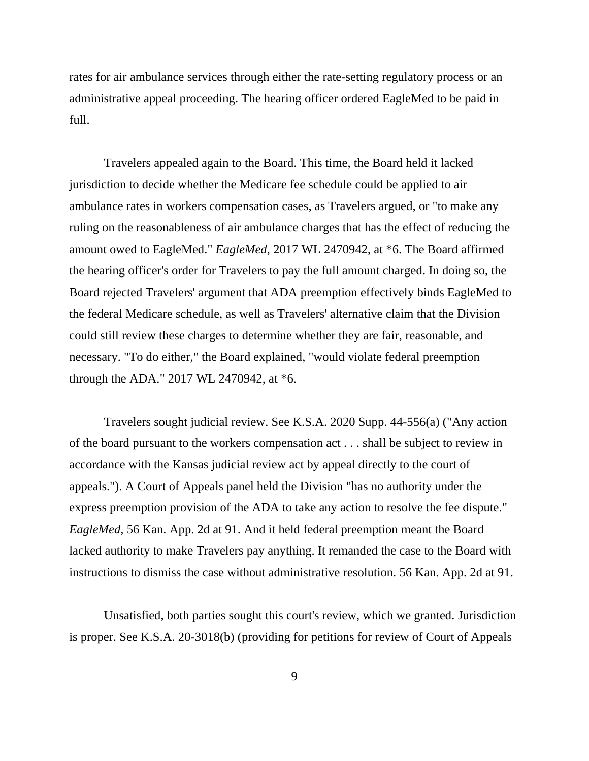rates for air ambulance services through either the rate-setting regulatory process or an administrative appeal proceeding. The hearing officer ordered EagleMed to be paid in full.

Travelers appealed again to the Board. This time, the Board held it lacked jurisdiction to decide whether the Medicare fee schedule could be applied to air ambulance rates in workers compensation cases, as Travelers argued, or "to make any ruling on the reasonableness of air ambulance charges that has the effect of reducing the amount owed to EagleMed." *EagleMed*, 2017 WL 2470942, at \*6. The Board affirmed the hearing officer's order for Travelers to pay the full amount charged. In doing so, the Board rejected Travelers' argument that ADA preemption effectively binds EagleMed to the federal Medicare schedule, as well as Travelers' alternative claim that the Division could still review these charges to determine whether they are fair, reasonable, and necessary. "To do either," the Board explained, "would violate federal preemption through the ADA." 2017 WL 2470942, at \*6.

Travelers sought judicial review. See K.S.A. 2020 Supp. 44-556(a) ("Any action of the board pursuant to the workers compensation act . . . shall be subject to review in accordance with the Kansas judicial review act by appeal directly to the court of appeals."). A Court of Appeals panel held the Division "has no authority under the express preemption provision of the ADA to take any action to resolve the fee dispute." *EagleMed,* 56 Kan. App. 2d at 91. And it held federal preemption meant the Board lacked authority to make Travelers pay anything. It remanded the case to the Board with instructions to dismiss the case without administrative resolution. 56 Kan. App. 2d at 91.

Unsatisfied, both parties sought this court's review, which we granted. Jurisdiction is proper. See K.S.A. 20-3018(b) (providing for petitions for review of Court of Appeals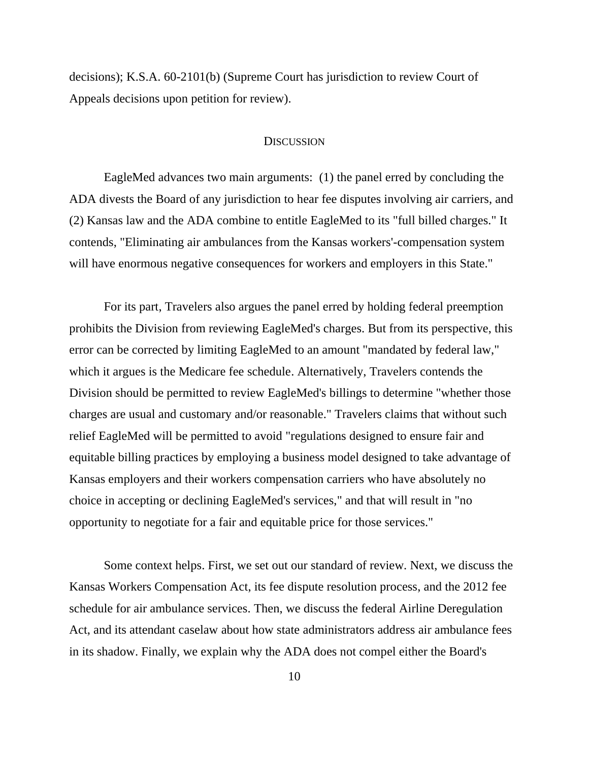decisions); K.S.A. 60-2101(b) (Supreme Court has jurisdiction to review Court of Appeals decisions upon petition for review).

#### **DISCUSSION**

EagleMed advances two main arguments: (1) the panel erred by concluding the ADA divests the Board of any jurisdiction to hear fee disputes involving air carriers, and (2) Kansas law and the ADA combine to entitle EagleMed to its "full billed charges." It contends, "Eliminating air ambulances from the Kansas workers'-compensation system will have enormous negative consequences for workers and employers in this State."

For its part, Travelers also argues the panel erred by holding federal preemption prohibits the Division from reviewing EagleMed's charges. But from its perspective, this error can be corrected by limiting EagleMed to an amount "mandated by federal law," which it argues is the Medicare fee schedule. Alternatively, Travelers contends the Division should be permitted to review EagleMed's billings to determine "whether those charges are usual and customary and/or reasonable." Travelers claims that without such relief EagleMed will be permitted to avoid "regulations designed to ensure fair and equitable billing practices by employing a business model designed to take advantage of Kansas employers and their workers compensation carriers who have absolutely no choice in accepting or declining EagleMed's services," and that will result in "no opportunity to negotiate for a fair and equitable price for those services."

Some context helps. First, we set out our standard of review. Next, we discuss the Kansas Workers Compensation Act, its fee dispute resolution process, and the 2012 fee schedule for air ambulance services. Then, we discuss the federal Airline Deregulation Act, and its attendant caselaw about how state administrators address air ambulance fees in its shadow. Finally, we explain why the ADA does not compel either the Board's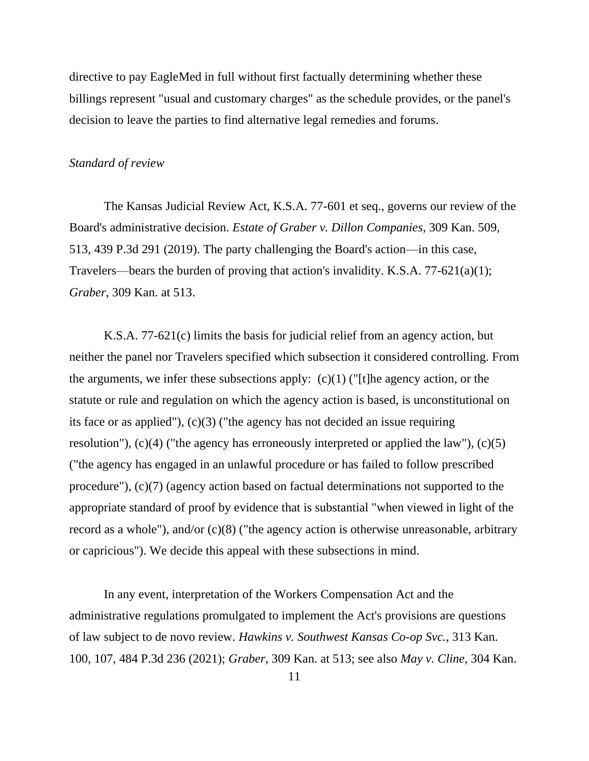directive to pay EagleMed in full without first factually determining whether these billings represent "usual and customary charges" as the schedule provides, or the panel's decision to leave the parties to find alternative legal remedies and forums.

#### *Standard of review*

The Kansas Judicial Review Act, K.S.A. 77-601 et seq., governs our review of the Board's administrative decision. *Estate of Graber v. Dillon Companies*, 309 Kan. 509, 513, 439 P.3d 291 (2019). The party challenging the Board's action—in this case, Travelers—bears the burden of proving that action's invalidity. K.S.A. 77-621(a)(1); *Graber*, 309 Kan. at 513.

K.S.A. 77-621(c) limits the basis for judicial relief from an agency action, but neither the panel nor Travelers specified which subsection it considered controlling. From the arguments, we infer these subsections apply:  $(c)(1)$  ("[t]he agency action, or the statute or rule and regulation on which the agency action is based, is unconstitutional on its face or as applied"), (c)(3) ("the agency has not decided an issue requiring resolution"),  $(c)(4)$  ("the agency has erroneously interpreted or applied the law"),  $(c)(5)$ ("the agency has engaged in an unlawful procedure or has failed to follow prescribed procedure"), (c)(7) (agency action based on factual determinations not supported to the appropriate standard of proof by evidence that is substantial "when viewed in light of the record as a whole"), and/or (c)(8) ("the agency action is otherwise unreasonable, arbitrary or capricious"). We decide this appeal with these subsections in mind.

In any event, interpretation of the Workers Compensation Act and the administrative regulations promulgated to implement the Act's provisions are questions of law subject to de novo review. *Hawkins v. Southwest Kansas Co-op Svc.*, 313 Kan. 100, 107, 484 P.3d 236 (2021); *Graber*, 309 Kan. at 513; see also *May v. Cline*, 304 Kan.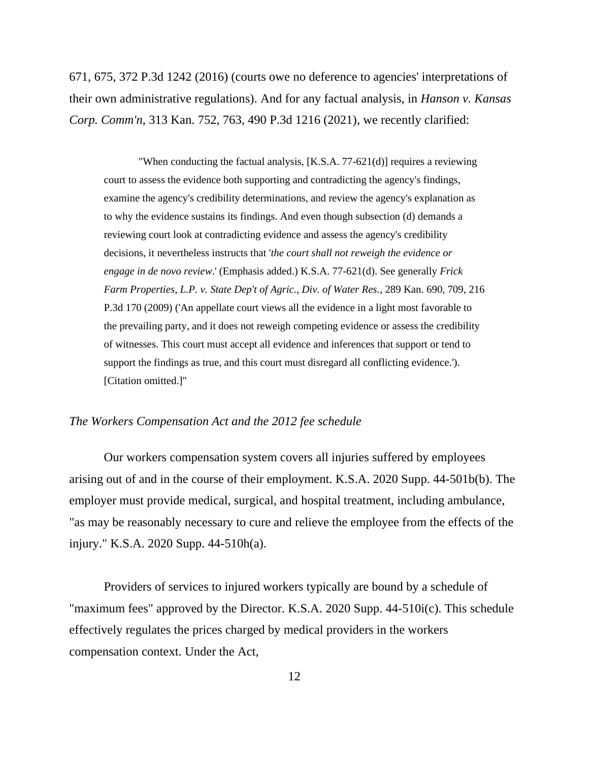671, 675, 372 P.3d 1242 (2016) (courts owe no deference to agencies' interpretations of their own administrative regulations). And for any factual analysis, in *Hanson v. Kansas Corp. Comm'n*, 313 Kan. 752, 763, 490 P.3d 1216 (2021), we recently clarified:

"When conducting the factual analysis, [K.S.A. 77-621(d)] requires a reviewing court to assess the evidence both supporting and contradicting the agency's findings, examine the agency's credibility determinations, and review the agency's explanation as to why the evidence sustains its findings. And even though subsection (d) demands a reviewing court look at contradicting evidence and assess the agency's credibility decisions, it nevertheless instructs that '*the court shall not reweigh the evidence or engage in de novo review*.' (Emphasis added.) K.S.A. 77-621(d). See generally *Frick Farm Properties, L.P. v. State Dep't of Agric., Div. of Water Res.*, 289 Kan. 690, 709, 216 P.3d 170 (2009) ('An appellate court views all the evidence in a light most favorable to the prevailing party, and it does not reweigh competing evidence or assess the credibility of witnesses. This court must accept all evidence and inferences that support or tend to support the findings as true, and this court must disregard all conflicting evidence.'). [Citation omitted.]"

#### *The Workers Compensation Act and the 2012 fee schedule*

Our workers compensation system covers all injuries suffered by employees arising out of and in the course of their employment. K.S.A. 2020 Supp. 44-501b(b). The employer must provide medical, surgical, and hospital treatment, including ambulance, "as may be reasonably necessary to cure and relieve the employee from the effects of the injury." K.S.A. 2020 Supp. 44-510h(a).

Providers of services to injured workers typically are bound by a schedule of "maximum fees" approved by the Director. K.S.A. 2020 Supp. 44-510i(c). This schedule effectively regulates the prices charged by medical providers in the workers compensation context. Under the Act,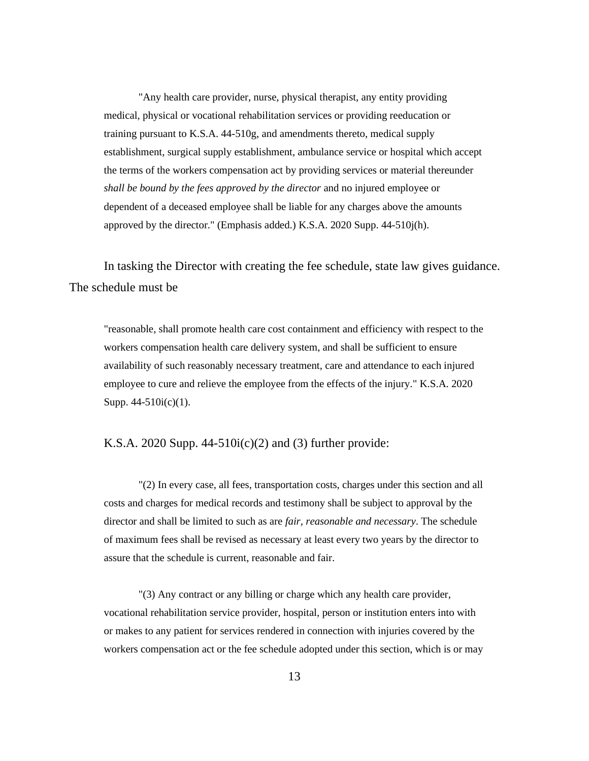"Any health care provider, nurse, physical therapist, any entity providing medical, physical or vocational rehabilitation services or providing reeducation or training pursuant to K.S.A. 44-510g, and amendments thereto, medical supply establishment, surgical supply establishment, ambulance service or hospital which accept the terms of the workers compensation act by providing services or material thereunder *shall be bound by the fees approved by the director* and no injured employee or dependent of a deceased employee shall be liable for any charges above the amounts approved by the director." (Emphasis added.) K.S.A. 2020 Supp. 44-510j(h).

In tasking the Director with creating the fee schedule, state law gives guidance. The schedule must be

"reasonable, shall promote health care cost containment and efficiency with respect to the workers compensation health care delivery system, and shall be sufficient to ensure availability of such reasonably necessary treatment, care and attendance to each injured employee to cure and relieve the employee from the effects of the injury." K.S.A. 2020 Supp. 44-510i(c)(1).

## K.S.A. 2020 Supp.  $44-510i(c)(2)$  and (3) further provide:

"(2) In every case, all fees, transportation costs, charges under this section and all costs and charges for medical records and testimony shall be subject to approval by the director and shall be limited to such as are *fair, reasonable and necessary*. The schedule of maximum fees shall be revised as necessary at least every two years by the director to assure that the schedule is current, reasonable and fair.

"(3) Any contract or any billing or charge which any health care provider, vocational rehabilitation service provider, hospital, person or institution enters into with or makes to any patient for services rendered in connection with injuries covered by the workers compensation act or the fee schedule adopted under this section, which is or may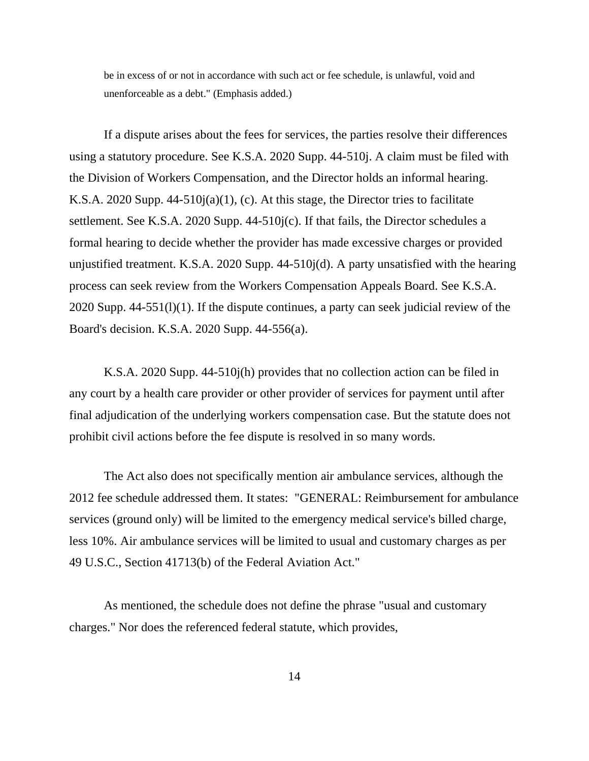be in excess of or not in accordance with such act or fee schedule, is unlawful, void and unenforceable as a debt." (Emphasis added.)

If a dispute arises about the fees for services, the parties resolve their differences using a statutory procedure. See K.S.A. 2020 Supp. 44-510j. A claim must be filed with the Division of Workers Compensation, and the Director holds an informal hearing. K.S.A. 2020 Supp. 44-510j(a)(1), (c). At this stage, the Director tries to facilitate settlement. See K.S.A. 2020 Supp. 44-510j(c). If that fails, the Director schedules a formal hearing to decide whether the provider has made excessive charges or provided unjustified treatment. K.S.A. 2020 Supp. 44-510j(d). A party unsatisfied with the hearing process can seek review from the Workers Compensation Appeals Board. See K.S.A. 2020 Supp. 44-551(l)(1). If the dispute continues, a party can seek judicial review of the Board's decision. K.S.A. 2020 Supp. 44-556(a).

K.S.A. 2020 Supp. 44-510j(h) provides that no collection action can be filed in any court by a health care provider or other provider of services for payment until after final adjudication of the underlying workers compensation case. But the statute does not prohibit civil actions before the fee dispute is resolved in so many words.

The Act also does not specifically mention air ambulance services, although the 2012 fee schedule addressed them. It states: "GENERAL: Reimbursement for ambulance services (ground only) will be limited to the emergency medical service's billed charge, less 10%. Air ambulance services will be limited to usual and customary charges as per 49 U.S.C., Section 41713(b) of the Federal Aviation Act."

As mentioned, the schedule does not define the phrase "usual and customary charges." Nor does the referenced federal statute, which provides,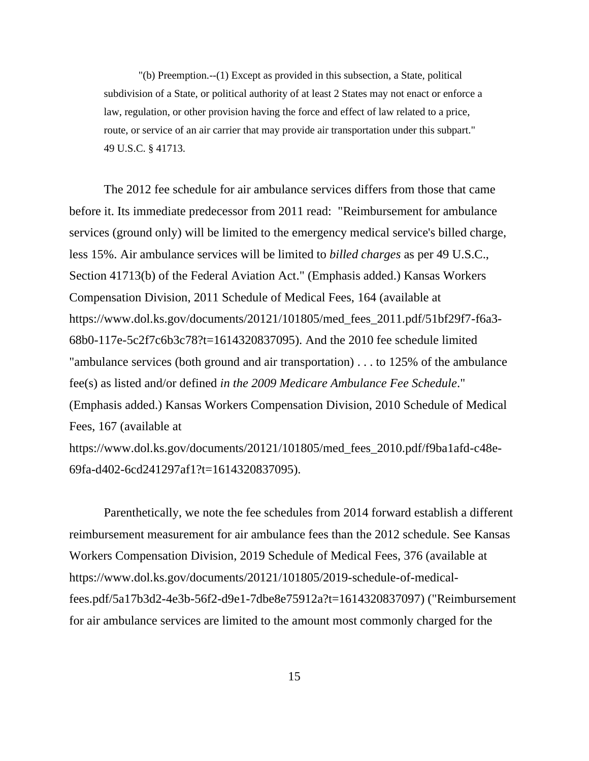"(b) Preemption.--(1) Except as provided in this subsection, a State, political subdivision of a State, or political authority of at least 2 States may not enact or enforce a law, regulation, or other provision having the force and effect of law related to a price, route, or service of an air carrier that may provide air transportation under this subpart." 49 U.S.C. § 41713.

The 2012 fee schedule for air ambulance services differs from those that came before it. Its immediate predecessor from 2011 read: "Reimbursement for ambulance services (ground only) will be limited to the emergency medical service's billed charge, less 15%. Air ambulance services will be limited to *billed charges* as per 49 U.S.C., Section 41713(b) of the Federal Aviation Act." (Emphasis added.) Kansas Workers Compensation Division, 2011 Schedule of Medical Fees, 164 (available at https://www.dol.ks.gov/documents/20121/101805/med\_fees\_2011.pdf/51bf29f7-f6a3- 68b0-117e-5c2f7c6b3c78?t=1614320837095). And the 2010 fee schedule limited "ambulance services (both ground and air transportation) . . . to 125% of the ambulance fee(s) as listed and/or defined *in the 2009 Medicare Ambulance Fee Schedule*." (Emphasis added.) Kansas Workers Compensation Division, 2010 Schedule of Medical Fees, 167 (available at https://www.dol.ks.gov/documents/20121/101805/med\_fees\_2010.pdf/f9ba1afd-c48e-69fa-d402-6cd241297af1?t=1614320837095).

Parenthetically, we note the fee schedules from 2014 forward establish a different reimbursement measurement for air ambulance fees than the 2012 schedule. See Kansas Workers Compensation Division, 2019 Schedule of Medical Fees, 376 (available at https://www.dol.ks.gov/documents/20121/101805/2019-schedule-of-medicalfees.pdf/5a17b3d2-4e3b-56f2-d9e1-7dbe8e75912a?t=1614320837097) ("Reimbursement for air ambulance services are limited to the amount most commonly charged for the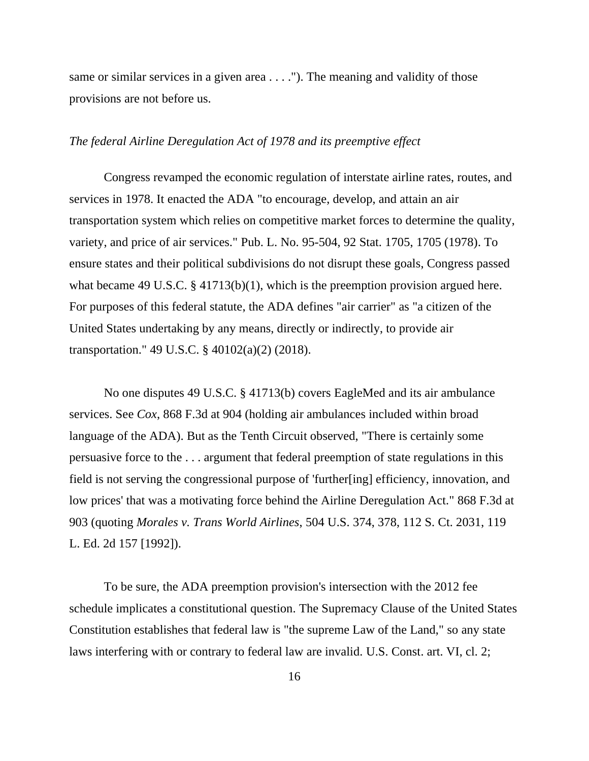same or similar services in a given area . . . ."). The meaning and validity of those provisions are not before us.

#### *The federal Airline Deregulation Act of 1978 and its preemptive effect*

Congress revamped the economic regulation of interstate airline rates, routes, and services in 1978. It enacted the ADA "to encourage, develop, and attain an air transportation system which relies on competitive market forces to determine the quality, variety, and price of air services." Pub. L. No. 95-504, 92 Stat. 1705, 1705 (1978). To ensure states and their political subdivisions do not disrupt these goals, Congress passed what became 49 U.S.C. § 41713(b)(1), which is the preemption provision argued here. For purposes of this federal statute, the ADA defines "air carrier" as "a citizen of the United States undertaking by any means, directly or indirectly, to provide air transportation." 49 U.S.C. § 40102(a)(2) (2018).

No one disputes 49 U.S.C. § 41713(b) covers EagleMed and its air ambulance services. See *Cox*, 868 F.3d at 904 (holding air ambulances included within broad language of the ADA). But as the Tenth Circuit observed, "There is certainly some persuasive force to the . . . argument that federal preemption of state regulations in this field is not serving the congressional purpose of 'further[ing] efficiency, innovation, and low prices' that was a motivating force behind the Airline Deregulation Act." 868 F.3d at 903 (quoting *Morales v. Trans World Airlines*, 504 U.S. 374, 378, 112 S. Ct. 2031, 119 L. Ed. 2d 157 [1992]).

To be sure, the ADA preemption provision's intersection with the 2012 fee schedule implicates a constitutional question. The Supremacy Clause of the United States Constitution establishes that federal law is "the supreme Law of the Land," so any state laws interfering with or contrary to federal law are invalid. U.S. Const. art. VI, cl. 2;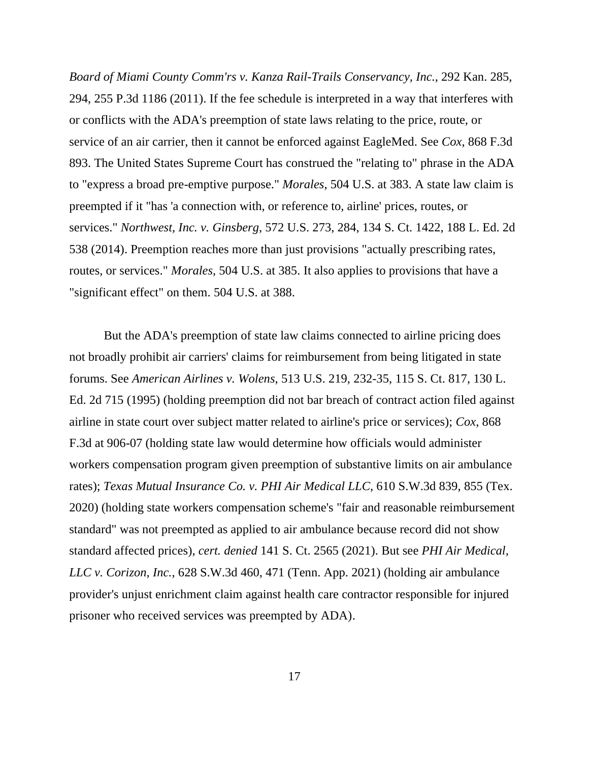*Board of Miami County Comm'rs v. Kanza Rail-Trails Conservancy, Inc.*, 292 Kan. 285, 294, 255 P.3d 1186 (2011). If the fee schedule is interpreted in a way that interferes with or conflicts with the ADA's preemption of state laws relating to the price, route, or service of an air carrier, then it cannot be enforced against EagleMed. See *Cox*, 868 F.3d 893. The United States Supreme Court has construed the "relating to" phrase in the ADA to "express a broad pre-emptive purpose." *Morales*, 504 U.S. at 383. A state law claim is preempted if it "has 'a connection with, or reference to, airline' prices, routes, or services." *Northwest, Inc. v. Ginsberg*, 572 U.S. 273, 284, 134 S. Ct. 1422, 188 L. Ed. 2d 538 (2014). Preemption reaches more than just provisions "actually prescribing rates, routes, or services." *Morales*, 504 U.S. at 385. It also applies to provisions that have a "significant effect" on them. 504 U.S. at 388.

But the ADA's preemption of state law claims connected to airline pricing does not broadly prohibit air carriers' claims for reimbursement from being litigated in state forums. See *American Airlines v. Wolens*, 513 U.S. 219, 232-35, 115 S. Ct. 817, 130 L. Ed. 2d 715 (1995) (holding preemption did not bar breach of contract action filed against airline in state court over subject matter related to airline's price or services); *Cox*, 868 F.3d at 906-07 (holding state law would determine how officials would administer workers compensation program given preemption of substantive limits on air ambulance rates); *Texas Mutual Insurance Co. v. PHI Air Medical LLC*, 610 S.W.3d 839, 855 (Tex. 2020) (holding state workers compensation scheme's "fair and reasonable reimbursement standard" was not preempted as applied to air ambulance because record did not show standard affected prices), *cert. denied* 141 S. Ct. 2565 (2021). But see *PHI Air Medical, LLC v. Corizon, Inc.*, 628 S.W.3d 460, 471 (Tenn. App. 2021) (holding air ambulance provider's unjust enrichment claim against health care contractor responsible for injured prisoner who received services was preempted by ADA).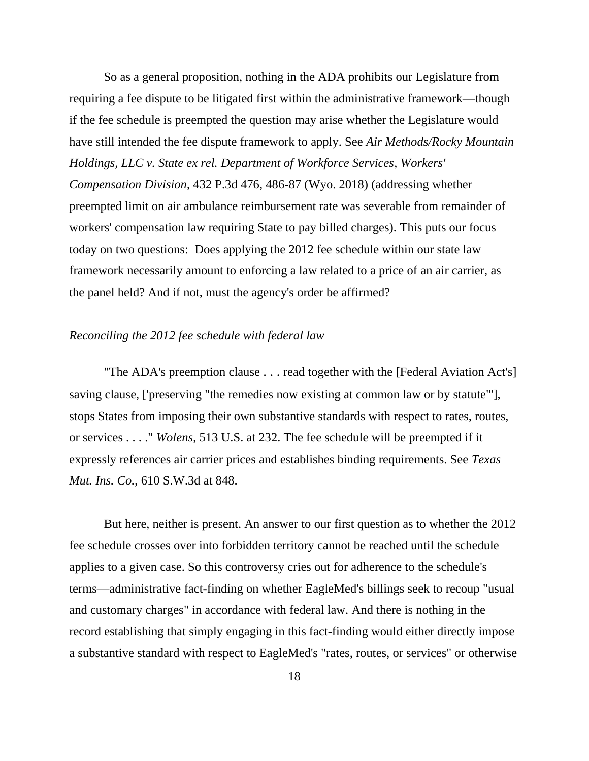So as a general proposition, nothing in the ADA prohibits our Legislature from requiring a fee dispute to be litigated first within the administrative framework—though if the fee schedule is preempted the question may arise whether the Legislature would have still intended the fee dispute framework to apply. See *Air Methods/Rocky Mountain Holdings, LLC v. State ex rel. Department of Workforce Services, Workers' Compensation Division*, 432 P.3d 476, 486-87 (Wyo. 2018) (addressing whether preempted limit on air ambulance reimbursement rate was severable from remainder of workers' compensation law requiring State to pay billed charges). This puts our focus today on two questions: Does applying the 2012 fee schedule within our state law framework necessarily amount to enforcing a law related to a price of an air carrier, as the panel held? And if not, must the agency's order be affirmed?

## *Reconciling the 2012 fee schedule with federal law*

"The ADA's preemption clause . . . read together with the [Federal Aviation Act's] saving clause, ['preserving "the remedies now existing at common law or by statute"'], stops States from imposing their own substantive standards with respect to rates, routes, or services . . . ." *Wolens*, 513 U.S. at 232. The fee schedule will be preempted if it expressly references air carrier prices and establishes binding requirements. See *Texas Mut. Ins. Co.*, 610 S.W.3d at 848.

But here, neither is present. An answer to our first question as to whether the 2012 fee schedule crosses over into forbidden territory cannot be reached until the schedule applies to a given case. So this controversy cries out for adherence to the schedule's terms—administrative fact-finding on whether EagleMed's billings seek to recoup "usual and customary charges" in accordance with federal law. And there is nothing in the record establishing that simply engaging in this fact-finding would either directly impose a substantive standard with respect to EagleMed's "rates, routes, or services" or otherwise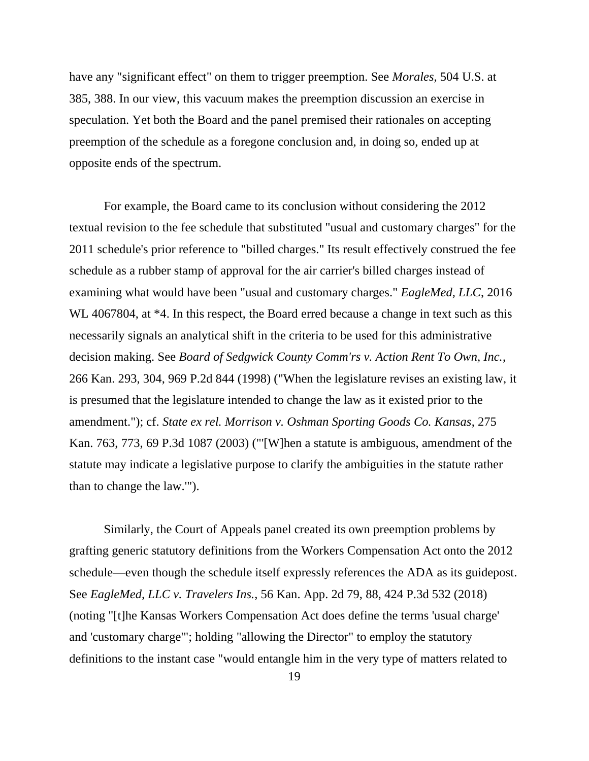have any "significant effect" on them to trigger preemption. See *Morales*, 504 U.S. at 385, 388. In our view, this vacuum makes the preemption discussion an exercise in speculation. Yet both the Board and the panel premised their rationales on accepting preemption of the schedule as a foregone conclusion and, in doing so, ended up at opposite ends of the spectrum.

For example, the Board came to its conclusion without considering the 2012 textual revision to the fee schedule that substituted "usual and customary charges" for the 2011 schedule's prior reference to "billed charges." Its result effectively construed the fee schedule as a rubber stamp of approval for the air carrier's billed charges instead of examining what would have been "usual and customary charges." *EagleMed, LLC*, 2016 WL 4067804, at  $*4$ . In this respect, the Board erred because a change in text such as this necessarily signals an analytical shift in the criteria to be used for this administrative decision making. See *Board of Sedgwick County Comm'rs v. Action Rent To Own, Inc.*, 266 Kan. 293, 304, 969 P.2d 844 (1998) ("When the legislature revises an existing law, it is presumed that the legislature intended to change the law as it existed prior to the amendment."); cf. *State ex rel. Morrison v. Oshman Sporting Goods Co. Kansas*, 275 Kan. 763, 773, 69 P.3d 1087 (2003) ("'[W]hen a statute is ambiguous, amendment of the statute may indicate a legislative purpose to clarify the ambiguities in the statute rather than to change the law.'").

Similarly, the Court of Appeals panel created its own preemption problems by grafting generic statutory definitions from the Workers Compensation Act onto the 2012 schedule—even though the schedule itself expressly references the ADA as its guidepost. See *EagleMed, LLC v. Travelers Ins.*, 56 Kan. App. 2d 79, 88, 424 P.3d 532 (2018) (noting "[t]he Kansas Workers Compensation Act does define the terms 'usual charge' and 'customary charge'"; holding "allowing the Director" to employ the statutory definitions to the instant case "would entangle him in the very type of matters related to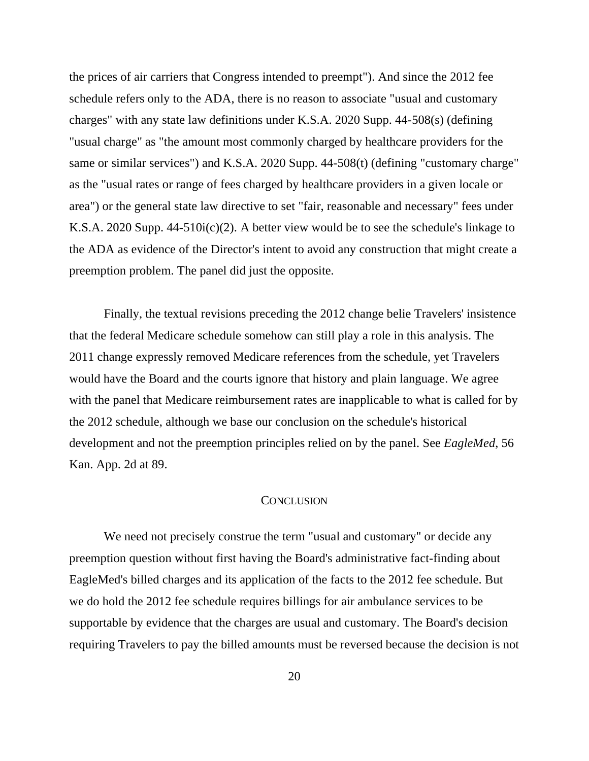the prices of air carriers that Congress intended to preempt"). And since the 2012 fee schedule refers only to the ADA, there is no reason to associate "usual and customary charges" with any state law definitions under K.S.A. 2020 Supp. 44-508(s) (defining "usual charge" as "the amount most commonly charged by healthcare providers for the same or similar services") and K.S.A. 2020 Supp. 44-508(t) (defining "customary charge" as the "usual rates or range of fees charged by healthcare providers in a given locale or area") or the general state law directive to set "fair, reasonable and necessary" fees under K.S.A. 2020 Supp. 44-510i(c)(2). A better view would be to see the schedule's linkage to the ADA as evidence of the Director's intent to avoid any construction that might create a preemption problem. The panel did just the opposite.

Finally, the textual revisions preceding the 2012 change belie Travelers' insistence that the federal Medicare schedule somehow can still play a role in this analysis. The 2011 change expressly removed Medicare references from the schedule, yet Travelers would have the Board and the courts ignore that history and plain language. We agree with the panel that Medicare reimbursement rates are inapplicable to what is called for by the 2012 schedule, although we base our conclusion on the schedule's historical development and not the preemption principles relied on by the panel. See *EagleMed*, 56 Kan. App. 2d at 89.

#### **CONCLUSION**

We need not precisely construe the term "usual and customary" or decide any preemption question without first having the Board's administrative fact-finding about EagleMed's billed charges and its application of the facts to the 2012 fee schedule. But we do hold the 2012 fee schedule requires billings for air ambulance services to be supportable by evidence that the charges are usual and customary. The Board's decision requiring Travelers to pay the billed amounts must be reversed because the decision is not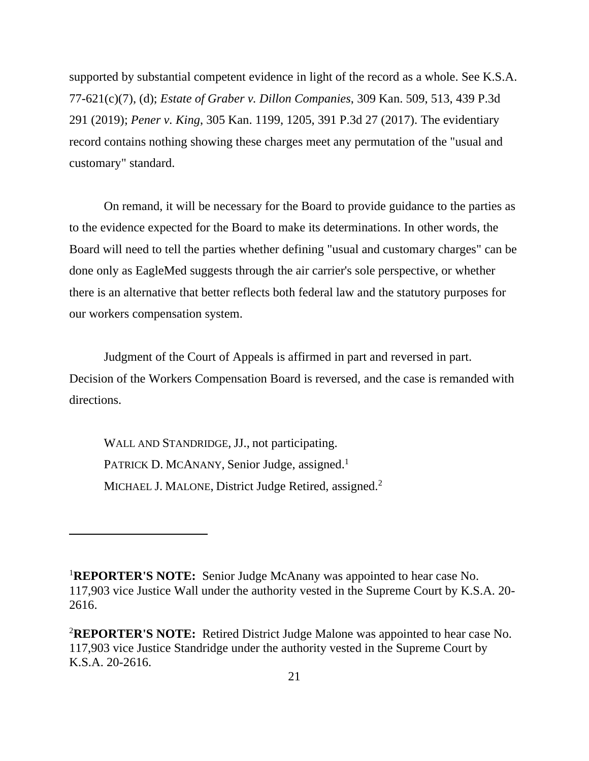supported by substantial competent evidence in light of the record as a whole. See K.S.A. 77-621(c)(7), (d); *Estate of Graber v. Dillon Companies*, 309 Kan. 509, 513, 439 P.3d 291 (2019); *Pener v. King*, 305 Kan. 1199, 1205, 391 P.3d 27 (2017). The evidentiary record contains nothing showing these charges meet any permutation of the "usual and customary" standard.

On remand, it will be necessary for the Board to provide guidance to the parties as to the evidence expected for the Board to make its determinations. In other words, the Board will need to tell the parties whether defining "usual and customary charges" can be done only as EagleMed suggests through the air carrier's sole perspective, or whether there is an alternative that better reflects both federal law and the statutory purposes for our workers compensation system.

Judgment of the Court of Appeals is affirmed in part and reversed in part. Decision of the Workers Compensation Board is reversed, and the case is remanded with directions.

WALL AND STANDRIDGE, JJ., not participating. PATRICK D. MCANANY, Senior Judge, assigned.<sup>1</sup> MICHAEL J. MALONE, District Judge Retired, assigned.<sup>2</sup>

<sup>1</sup>**REPORTER'S NOTE:** Senior Judge McAnany was appointed to hear case No. 117,903 vice Justice Wall under the authority vested in the Supreme Court by K.S.A. 20- 2616.

<sup>2</sup>**REPORTER'S NOTE:** Retired District Judge Malone was appointed to hear case No. 117,903 vice Justice Standridge under the authority vested in the Supreme Court by K.S.A. 20-2616.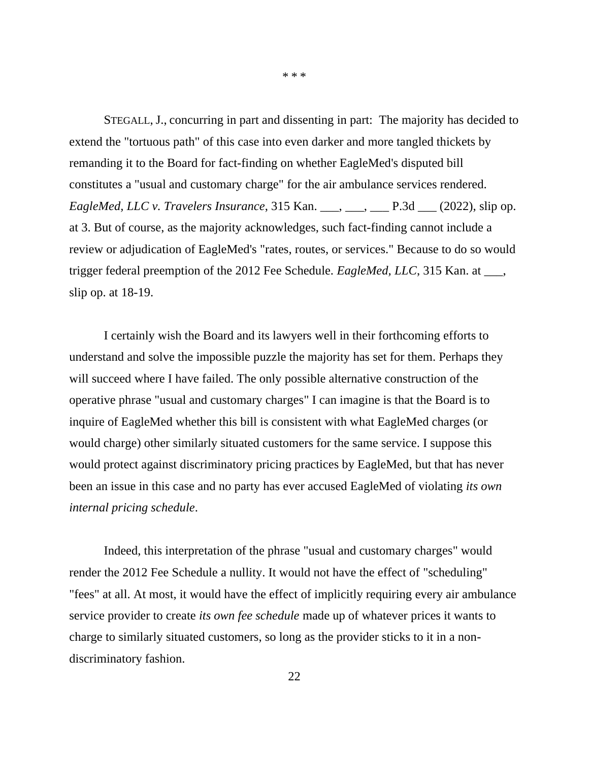STEGALL, J., concurring in part and dissenting in part: The majority has decided to extend the "tortuous path" of this case into even darker and more tangled thickets by remanding it to the Board for fact-finding on whether EagleMed's disputed bill constitutes a "usual and customary charge" for the air ambulance services rendered. *EagleMed, LLC v. Travelers Insurance*, 315 Kan. \_\_\_, \_\_\_, \_\_\_ P.3d \_\_\_ (2022), slip op. at 3. But of course, as the majority acknowledges, such fact-finding cannot include a review or adjudication of EagleMed's "rates, routes, or services." Because to do so would trigger federal preemption of the 2012 Fee Schedule. *EagleMed, LLC*, 315 Kan. at \_\_\_, slip op. at 18-19.

I certainly wish the Board and its lawyers well in their forthcoming efforts to understand and solve the impossible puzzle the majority has set for them. Perhaps they will succeed where I have failed. The only possible alternative construction of the operative phrase "usual and customary charges" I can imagine is that the Board is to inquire of EagleMed whether this bill is consistent with what EagleMed charges (or would charge) other similarly situated customers for the same service. I suppose this would protect against discriminatory pricing practices by EagleMed, but that has never been an issue in this case and no party has ever accused EagleMed of violating *its own internal pricing schedule*.

Indeed, this interpretation of the phrase "usual and customary charges" would render the 2012 Fee Schedule a nullity. It would not have the effect of "scheduling" "fees" at all. At most, it would have the effect of implicitly requiring every air ambulance service provider to create *its own fee schedule* made up of whatever prices it wants to charge to similarly situated customers, so long as the provider sticks to it in a nondiscriminatory fashion.

22

\* \* \*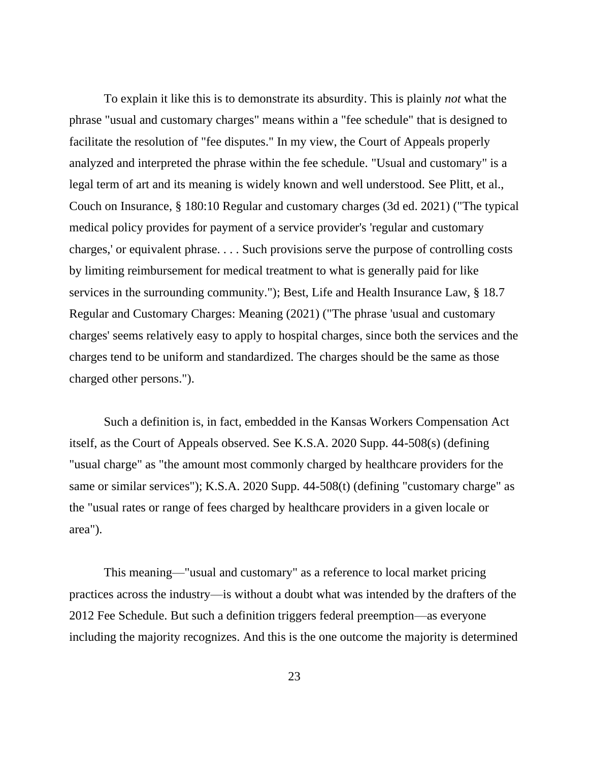To explain it like this is to demonstrate its absurdity. This is plainly *not* what the phrase "usual and customary charges" means within a "fee schedule" that is designed to facilitate the resolution of "fee disputes." In my view, the Court of Appeals properly analyzed and interpreted the phrase within the fee schedule. "Usual and customary" is a legal term of art and its meaning is widely known and well understood. See Plitt, et al., Couch on Insurance, § 180:10 Regular and customary charges (3d ed. 2021) ("The typical medical policy provides for payment of a service provider's 'regular and customary charges,' or equivalent phrase. . . . Such provisions serve the purpose of controlling costs by limiting reimbursement for medical treatment to what is generally paid for like services in the surrounding community."); Best, Life and Health Insurance Law, § 18.7 Regular and Customary Charges: Meaning (2021) ("The phrase 'usual and customary charges' seems relatively easy to apply to hospital charges, since both the services and the charges tend to be uniform and standardized. The charges should be the same as those charged other persons.").

Such a definition is, in fact, embedded in the Kansas Workers Compensation Act itself, as the Court of Appeals observed. See K.S.A. 2020 Supp. 44-508(s) (defining "usual charge" as "the amount most commonly charged by healthcare providers for the same or similar services"); K.S.A. 2020 Supp. 44-508(t) (defining "customary charge" as the "usual rates or range of fees charged by healthcare providers in a given locale or area").

This meaning—"usual and customary" as a reference to local market pricing practices across the industry—is without a doubt what was intended by the drafters of the 2012 Fee Schedule. But such a definition triggers federal preemption—as everyone including the majority recognizes. And this is the one outcome the majority is determined